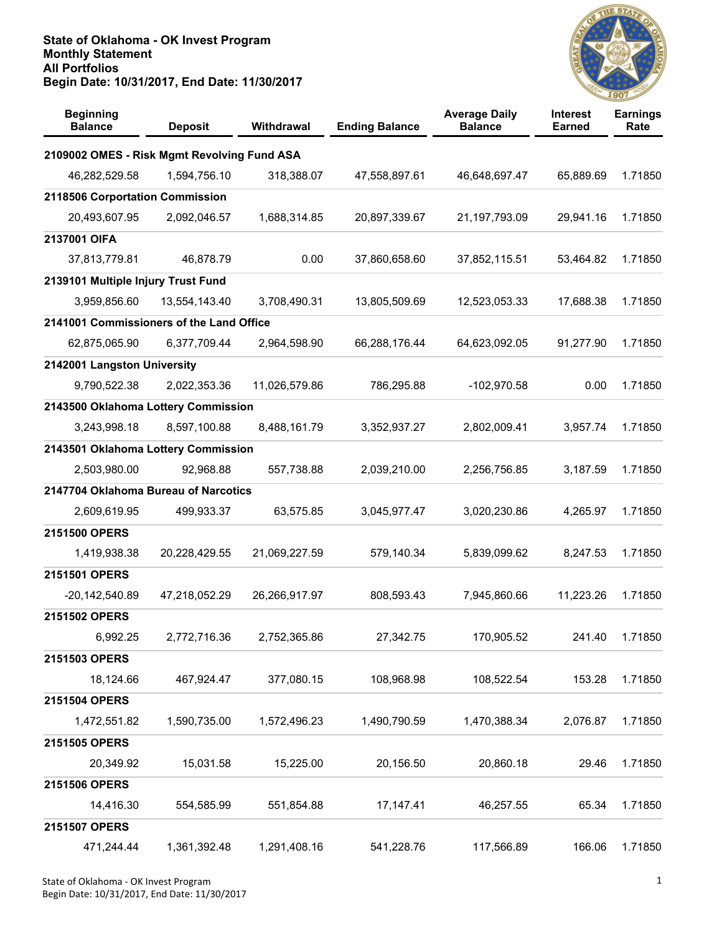

| <b>Beginning</b><br><b>Balance</b>          | <b>Deposit</b> | Withdrawal    | <b>Ending Balance</b> | <b>Average Daily</b><br><b>Balance</b> | <b>Interest</b><br><b>Earned</b> | <b>Earnings</b><br>Rate |
|---------------------------------------------|----------------|---------------|-----------------------|----------------------------------------|----------------------------------|-------------------------|
| 2109002 OMES - Risk Mgmt Revolving Fund ASA |                |               |                       |                                        |                                  |                         |
| 46,282,529.58                               | 1,594,756.10   | 318,388.07    | 47,558,897.61         | 46,648,697.47                          | 65,889.69                        | 1.71850                 |
| 2118506 Corportation Commission             |                |               |                       |                                        |                                  |                         |
| 20,493,607.95                               | 2,092,046.57   | 1,688,314.85  | 20,897,339.67         | 21,197,793.09                          | 29,941.16                        | 1.71850                 |
| 2137001 OIFA                                |                |               |                       |                                        |                                  |                         |
| 37,813,779.81                               | 46,878.79      | 0.00          | 37,860,658.60         | 37,852,115.51                          | 53,464.82                        | 1.71850                 |
| 2139101 Multiple Injury Trust Fund          |                |               |                       |                                        |                                  |                         |
| 3,959,856.60                                | 13,554,143.40  | 3,708,490.31  | 13,805,509.69         | 12,523,053.33                          | 17,688.38                        | 1.71850                 |
| 2141001 Commissioners of the Land Office    |                |               |                       |                                        |                                  |                         |
| 62,875,065.90                               | 6,377,709.44   | 2,964,598.90  | 66,288,176.44         | 64,623,092.05                          | 91,277.90                        | 1.71850                 |
| 2142001 Langston University                 |                |               |                       |                                        |                                  |                         |
| 9,790,522.38                                | 2,022,353.36   | 11,026,579.86 | 786,295.88            | $-102,970.58$                          | 0.00                             | 1.71850                 |
| 2143500 Oklahoma Lottery Commission         |                |               |                       |                                        |                                  |                         |
| 3,243,998.18                                | 8,597,100.88   | 8,488,161.79  | 3,352,937.27          | 2,802,009.41                           | 3,957.74                         | 1.71850                 |
| 2143501 Oklahoma Lottery Commission         |                |               |                       |                                        |                                  |                         |
| 2,503,980.00                                | 92,968.88      | 557,738.88    | 2,039,210.00          | 2,256,756.85                           | 3,187.59                         | 1.71850                 |
| 2147704 Oklahoma Bureau of Narcotics        |                |               |                       |                                        |                                  |                         |
| 2,609,619.95                                | 499,933.37     | 63,575.85     | 3,045,977.47          | 3,020,230.86                           | 4,265.97                         | 1.71850                 |
| 2151500 OPERS                               |                |               |                       |                                        |                                  |                         |
| 1,419,938.38                                | 20,228,429.55  | 21,069,227.59 | 579,140.34            | 5,839,099.62                           | 8,247.53                         | 1.71850                 |
| 2151501 OPERS                               |                |               |                       |                                        |                                  |                         |
| -20,142,540.89                              | 47,218,052.29  | 26,266,917.97 | 808,593.43            | 7,945,860.66                           | 11,223.26                        | 1.71850                 |
| 2151502 OPERS                               |                |               |                       |                                        |                                  |                         |
| 6,992.25                                    | 2,772,716.36   | 2,752,365.86  | 27,342.75             | 170,905.52                             | 241.40                           | 1.71850                 |
| 2151503 OPERS                               |                |               |                       |                                        |                                  |                         |
| 18,124.66                                   | 467,924.47     | 377,080.15    | 108,968.98            | 108,522.54                             | 153.28                           | 1.71850                 |
| 2151504 OPERS                               |                |               |                       |                                        |                                  |                         |
| 1,472,551.82                                | 1,590,735.00   | 1,572,496.23  | 1,490,790.59          | 1,470,388.34                           | 2,076.87                         | 1.71850                 |
| 2151505 OPERS                               |                |               |                       |                                        |                                  |                         |
| 20,349.92                                   | 15,031.58      | 15,225.00     | 20,156.50             | 20,860.18                              | 29.46                            | 1.71850                 |
| 2151506 OPERS                               |                |               |                       |                                        |                                  |                         |
| 14,416.30                                   | 554,585.99     | 551,854.88    | 17, 147. 41           | 46,257.55                              | 65.34                            | 1.71850                 |
| 2151507 OPERS                               |                |               |                       |                                        |                                  |                         |
| 471,244.44                                  | 1,361,392.48   | 1,291,408.16  | 541,228.76            | 117,566.89                             | 166.06                           | 1.71850                 |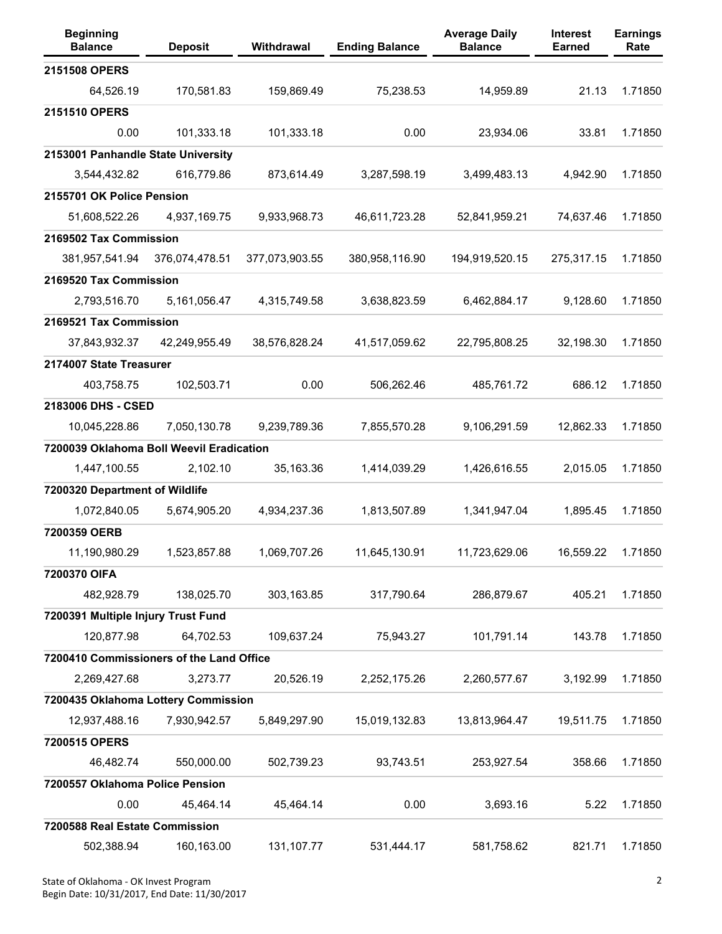| <b>Beginning</b><br><b>Balance</b>       | <b>Deposit</b> | Withdrawal     | <b>Ending Balance</b> | <b>Average Daily</b><br><b>Balance</b> | <b>Interest</b><br><b>Earned</b> | <b>Earnings</b><br>Rate |
|------------------------------------------|----------------|----------------|-----------------------|----------------------------------------|----------------------------------|-------------------------|
| 2151508 OPERS                            |                |                |                       |                                        |                                  |                         |
| 64,526.19                                | 170,581.83     | 159,869.49     | 75,238.53             | 14,959.89                              | 21.13                            | 1.71850                 |
| 2151510 OPERS                            |                |                |                       |                                        |                                  |                         |
| 0.00                                     | 101,333.18     | 101,333.18     | 0.00                  | 23,934.06                              | 33.81                            | 1.71850                 |
| 2153001 Panhandle State University       |                |                |                       |                                        |                                  |                         |
| 3,544,432.82                             | 616,779.86     | 873,614.49     | 3,287,598.19          | 3,499,483.13                           | 4,942.90                         | 1.71850                 |
| 2155701 OK Police Pension                |                |                |                       |                                        |                                  |                         |
| 51,608,522.26                            | 4,937,169.75   | 9,933,968.73   | 46,611,723.28         | 52,841,959.21                          | 74,637.46                        | 1.71850                 |
| 2169502 Tax Commission                   |                |                |                       |                                        |                                  |                         |
| 381,957,541.94                           | 376,074,478.51 | 377,073,903.55 | 380,958,116.90        | 194,919,520.15                         | 275,317.15                       | 1.71850                 |
| 2169520 Tax Commission                   |                |                |                       |                                        |                                  |                         |
| 2,793,516.70                             | 5,161,056.47   | 4,315,749.58   | 3,638,823.59          | 6,462,884.17                           | 9,128.60                         | 1.71850                 |
| 2169521 Tax Commission                   |                |                |                       |                                        |                                  |                         |
| 37,843,932.37                            | 42,249,955.49  | 38,576,828.24  | 41,517,059.62         | 22,795,808.25                          | 32,198.30                        | 1.71850                 |
| 2174007 State Treasurer                  |                |                |                       |                                        |                                  |                         |
| 403,758.75                               | 102,503.71     | 0.00           | 506,262.46            | 485,761.72                             | 686.12                           | 1.71850                 |
| 2183006 DHS - CSED                       |                |                |                       |                                        |                                  |                         |
| 10,045,228.86                            | 7,050,130.78   | 9,239,789.36   | 7,855,570.28          | 9,106,291.59                           | 12,862.33                        | 1.71850                 |
| 7200039 Oklahoma Boll Weevil Eradication |                |                |                       |                                        |                                  |                         |
| 1,447,100.55                             | 2,102.10       | 35,163.36      | 1,414,039.29          | 1,426,616.55                           | 2,015.05                         | 1.71850                 |
| 7200320 Department of Wildlife           |                |                |                       |                                        |                                  |                         |
| 1,072,840.05                             | 5,674,905.20   | 4,934,237.36   | 1,813,507.89          | 1,341,947.04                           | 1,895.45                         | 1.71850                 |
| 7200359 OERB                             |                |                |                       |                                        |                                  |                         |
| 11,190,980.29                            | 1,523,857.88   | 1,069,707.26   | 11,645,130.91         | 11,723,629.06                          | 16,559.22                        | 1.71850                 |
| 7200370 OIFA                             |                |                |                       |                                        |                                  |                         |
| 482,928.79                               | 138,025.70     | 303,163.85     | 317,790.64            | 286,879.67                             | 405.21                           | 1.71850                 |
| 7200391 Multiple Injury Trust Fund       |                |                |                       |                                        |                                  |                         |
| 120,877.98                               | 64,702.53      | 109,637.24     | 75,943.27             | 101,791.14                             | 143.78                           | 1.71850                 |
| 7200410 Commissioners of the Land Office |                |                |                       |                                        |                                  |                         |
| 2,269,427.68                             | 3,273.77       | 20,526.19      | 2,252,175.26          | 2,260,577.67                           | 3,192.99                         | 1.71850                 |
| 7200435 Oklahoma Lottery Commission      |                |                |                       |                                        |                                  |                         |
| 12,937,488.16                            | 7,930,942.57   | 5,849,297.90   | 15,019,132.83         | 13,813,964.47                          | 19,511.75                        | 1.71850                 |
| 7200515 OPERS                            |                |                |                       |                                        |                                  |                         |
| 46,482.74                                | 550,000.00     | 502,739.23     | 93,743.51             | 253,927.54                             | 358.66                           | 1.71850                 |
| 7200557 Oklahoma Police Pension          |                |                |                       |                                        |                                  |                         |
| 0.00                                     | 45,464.14      | 45,464.14      | 0.00                  | 3,693.16                               | 5.22                             | 1.71850                 |
| 7200588 Real Estate Commission           |                |                |                       |                                        |                                  |                         |
| 502,388.94                               | 160,163.00     | 131,107.77     | 531,444.17            | 581,758.62                             | 821.71                           | 1.71850                 |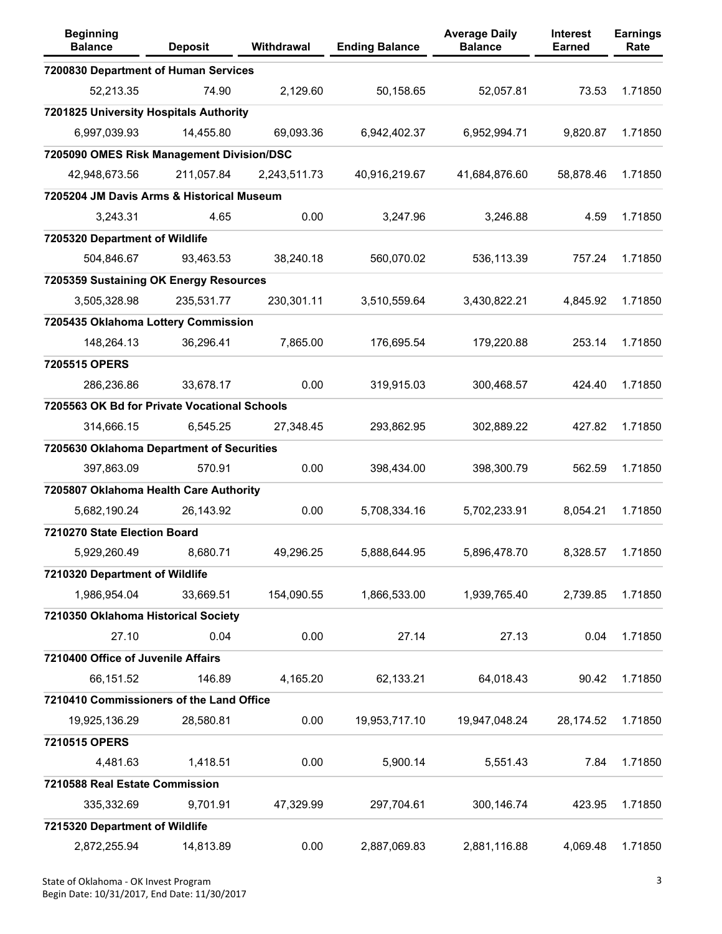| <b>Beginning</b><br><b>Balance</b>           | <b>Deposit</b> | Withdrawal   | <b>Ending Balance</b> | <b>Average Daily</b><br><b>Balance</b> | <b>Interest</b><br><b>Earned</b> | <b>Earnings</b><br>Rate |
|----------------------------------------------|----------------|--------------|-----------------------|----------------------------------------|----------------------------------|-------------------------|
| 7200830 Department of Human Services         |                |              |                       |                                        |                                  |                         |
| 52,213.35                                    | 74.90          | 2,129.60     | 50,158.65             | 52,057.81                              | 73.53                            | 1.71850                 |
| 7201825 University Hospitals Authority       |                |              |                       |                                        |                                  |                         |
| 6,997,039.93                                 | 14,455.80      | 69,093.36    | 6,942,402.37          | 6,952,994.71                           | 9,820.87                         | 1.71850                 |
| 7205090 OMES Risk Management Division/DSC    |                |              |                       |                                        |                                  |                         |
| 42,948,673.56                                | 211,057.84     | 2,243,511.73 | 40,916,219.67         | 41,684,876.60                          | 58,878.46                        | 1.71850                 |
| 7205204 JM Davis Arms & Historical Museum    |                |              |                       |                                        |                                  |                         |
| 3,243.31                                     | 4.65           | 0.00         | 3,247.96              | 3,246.88                               | 4.59                             | 1.71850                 |
| 7205320 Department of Wildlife               |                |              |                       |                                        |                                  |                         |
| 504,846.67                                   | 93,463.53      | 38,240.18    | 560,070.02            | 536,113.39                             | 757.24                           | 1.71850                 |
| 7205359 Sustaining OK Energy Resources       |                |              |                       |                                        |                                  |                         |
| 3,505,328.98                                 | 235,531.77     | 230,301.11   | 3,510,559.64          | 3,430,822.21                           | 4,845.92                         | 1.71850                 |
| 7205435 Oklahoma Lottery Commission          |                |              |                       |                                        |                                  |                         |
| 148,264.13                                   | 36,296.41      | 7,865.00     | 176,695.54            | 179,220.88                             | 253.14                           | 1.71850                 |
| 7205515 OPERS                                |                |              |                       |                                        |                                  |                         |
| 286,236.86                                   | 33,678.17      | 0.00         | 319,915.03            | 300,468.57                             | 424.40                           | 1.71850                 |
| 7205563 OK Bd for Private Vocational Schools |                |              |                       |                                        |                                  |                         |
| 314,666.15                                   | 6,545.25       | 27,348.45    | 293,862.95            | 302,889.22                             | 427.82                           | 1.71850                 |
| 7205630 Oklahoma Department of Securities    |                |              |                       |                                        |                                  |                         |
| 397,863.09                                   | 570.91         | 0.00         | 398,434.00            | 398,300.79                             | 562.59                           | 1.71850                 |
| 7205807 Oklahoma Health Care Authority       |                |              |                       |                                        |                                  |                         |
| 5,682,190.24                                 | 26,143.92      | 0.00         | 5,708,334.16          | 5,702,233.91                           | 8,054.21                         | 1.71850                 |
| 7210270 State Election Board                 |                |              |                       |                                        |                                  |                         |
| 5,929,260.49                                 | 8,680.71       | 49,296.25    | 5,888,644.95          | 5,896,478.70                           | 8,328.57                         | 1.71850                 |
| 7210320 Department of Wildlife               |                |              |                       |                                        |                                  |                         |
| 1,986,954.04                                 | 33,669.51      | 154,090.55   | 1,866,533.00          | 1,939,765.40                           | 2,739.85                         | 1.71850                 |
| 7210350 Oklahoma Historical Society          |                |              |                       |                                        |                                  |                         |
| 27.10                                        | 0.04           | 0.00         | 27.14                 | 27.13                                  | 0.04                             | 1.71850                 |
| 7210400 Office of Juvenile Affairs           |                |              |                       |                                        |                                  |                         |
| 66,151.52                                    | 146.89         | 4,165.20     | 62,133.21             | 64,018.43                              | 90.42                            | 1.71850                 |
| 7210410 Commissioners of the Land Office     |                |              |                       |                                        |                                  |                         |
| 19,925,136.29                                | 28,580.81      | 0.00         | 19,953,717.10         | 19,947,048.24                          | 28,174.52                        | 1.71850                 |
| 7210515 OPERS                                |                |              |                       |                                        |                                  |                         |
| 4,481.63                                     | 1,418.51       | 0.00         | 5,900.14              | 5,551.43                               | 7.84                             | 1.71850                 |
| 7210588 Real Estate Commission               |                |              |                       |                                        |                                  |                         |
| 335,332.69                                   | 9,701.91       | 47,329.99    | 297,704.61            | 300,146.74                             | 423.95                           | 1.71850                 |
| 7215320 Department of Wildlife               |                |              |                       |                                        |                                  |                         |
| 2,872,255.94                                 | 14,813.89      | 0.00         | 2,887,069.83          | 2,881,116.88                           | 4,069.48                         | 1.71850                 |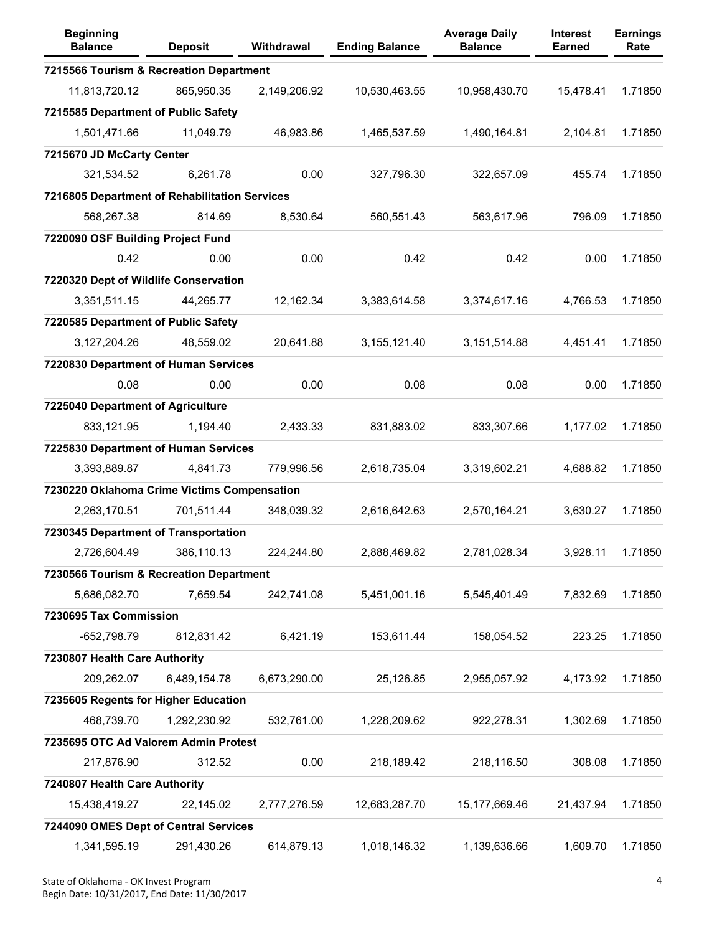| <b>Beginning</b><br><b>Balance</b>            | <b>Deposit</b> | Withdrawal   | <b>Ending Balance</b> | <b>Average Daily</b><br><b>Balance</b> | <b>Interest</b><br><b>Earned</b> | <b>Earnings</b><br>Rate |
|-----------------------------------------------|----------------|--------------|-----------------------|----------------------------------------|----------------------------------|-------------------------|
| 7215566 Tourism & Recreation Department       |                |              |                       |                                        |                                  |                         |
| 11,813,720.12                                 | 865,950.35     | 2,149,206.92 | 10,530,463.55         | 10,958,430.70                          | 15,478.41                        | 1.71850                 |
| 7215585 Department of Public Safety           |                |              |                       |                                        |                                  |                         |
| 1,501,471.66                                  | 11,049.79      | 46,983.86    | 1,465,537.59          | 1,490,164.81                           | 2,104.81                         | 1.71850                 |
| 7215670 JD McCarty Center                     |                |              |                       |                                        |                                  |                         |
| 321,534.52                                    | 6,261.78       | 0.00         | 327,796.30            | 322,657.09                             | 455.74                           | 1.71850                 |
| 7216805 Department of Rehabilitation Services |                |              |                       |                                        |                                  |                         |
| 568,267.38                                    | 814.69         | 8,530.64     | 560,551.43            | 563,617.96                             | 796.09                           | 1.71850                 |
| 7220090 OSF Building Project Fund             |                |              |                       |                                        |                                  |                         |
| 0.42                                          | 0.00           | 0.00         | 0.42                  | 0.42                                   | 0.00                             | 1.71850                 |
| 7220320 Dept of Wildlife Conservation         |                |              |                       |                                        |                                  |                         |
| 3,351,511.15                                  | 44,265.77      | 12,162.34    | 3,383,614.58          | 3,374,617.16                           | 4,766.53                         | 1.71850                 |
| 7220585 Department of Public Safety           |                |              |                       |                                        |                                  |                         |
| 3,127,204.26                                  | 48,559.02      | 20,641.88    | 3,155,121.40          | 3, 151, 514.88                         | 4,451.41                         | 1.71850                 |
| 7220830 Department of Human Services          |                |              |                       |                                        |                                  |                         |
| 0.08                                          | 0.00           | 0.00         | 0.08                  | 0.08                                   | 0.00                             | 1.71850                 |
| 7225040 Department of Agriculture             |                |              |                       |                                        |                                  |                         |
| 833,121.95                                    | 1,194.40       | 2,433.33     | 831,883.02            | 833,307.66                             | 1,177.02                         | 1.71850                 |
| 7225830 Department of Human Services          |                |              |                       |                                        |                                  |                         |
| 3,393,889.87                                  | 4,841.73       | 779,996.56   | 2,618,735.04          | 3,319,602.21                           | 4,688.82                         | 1.71850                 |
| 7230220 Oklahoma Crime Victims Compensation   |                |              |                       |                                        |                                  |                         |
| 2,263,170.51                                  | 701,511.44     | 348,039.32   | 2,616,642.63          | 2,570,164.21                           | 3,630.27                         | 1.71850                 |
| 7230345 Department of Transportation          |                |              |                       |                                        |                                  |                         |
| 2,726,604.49                                  | 386,110.13     | 224,244.80   | 2,888,469.82          | 2,781,028.34                           | 3,928.11                         | 1.71850                 |
| 7230566 Tourism & Recreation Department       |                |              |                       |                                        |                                  |                         |
| 5,686,082.70                                  | 7,659.54       | 242,741.08   | 5,451,001.16          | 5,545,401.49                           | 7,832.69                         | 1.71850                 |
| 7230695 Tax Commission                        |                |              |                       |                                        |                                  |                         |
| $-652,798.79$                                 | 812,831.42     | 6,421.19     | 153,611.44            | 158,054.52                             | 223.25                           | 1.71850                 |
| 7230807 Health Care Authority                 |                |              |                       |                                        |                                  |                         |
| 209,262.07                                    | 6,489,154.78   | 6,673,290.00 | 25,126.85             | 2,955,057.92                           | 4,173.92                         | 1.71850                 |
| 7235605 Regents for Higher Education          |                |              |                       |                                        |                                  |                         |
| 468,739.70                                    | 1,292,230.92   | 532,761.00   | 1,228,209.62          | 922,278.31                             | 1,302.69                         | 1.71850                 |
| 7235695 OTC Ad Valorem Admin Protest          |                |              |                       |                                        |                                  |                         |
| 217,876.90                                    | 312.52         | 0.00         | 218,189.42            | 218,116.50                             | 308.08                           | 1.71850                 |
| 7240807 Health Care Authority                 |                |              |                       |                                        |                                  |                         |
| 15,438,419.27                                 | 22,145.02      | 2,777,276.59 | 12,683,287.70         | 15,177,669.46                          | 21,437.94                        | 1.71850                 |
| 7244090 OMES Dept of Central Services         |                |              |                       |                                        |                                  |                         |
| 1,341,595.19                                  | 291,430.26     | 614,879.13   | 1,018,146.32          | 1,139,636.66                           | 1,609.70                         | 1.71850                 |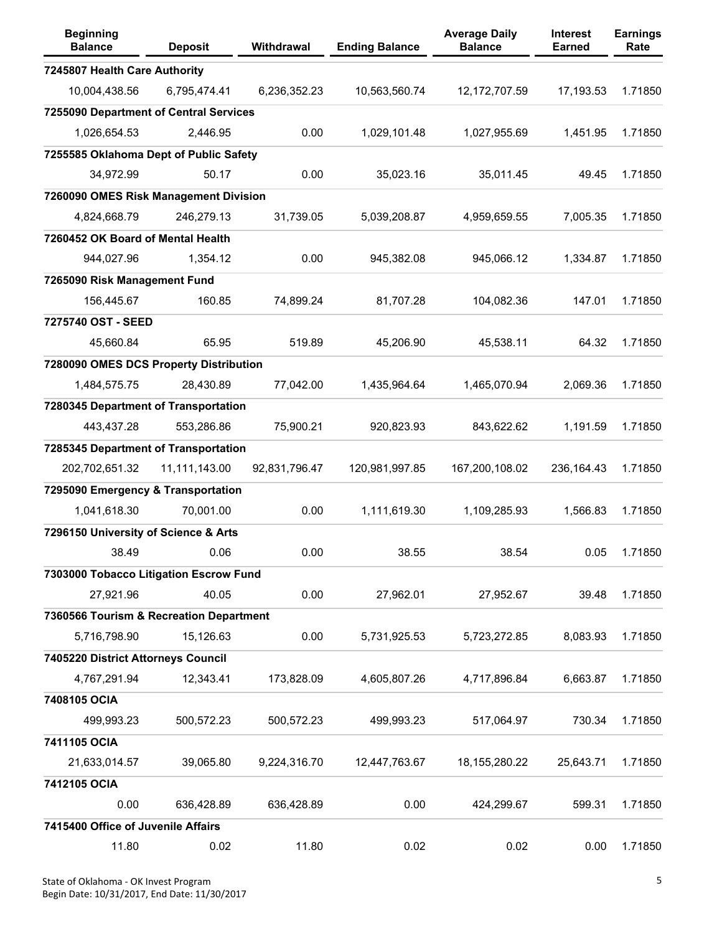| <b>Beginning</b><br><b>Balance</b>      | <b>Deposit</b> | Withdrawal    | <b>Ending Balance</b> | <b>Average Daily</b><br><b>Balance</b> | <b>Interest</b><br><b>Earned</b> | <b>Earnings</b><br>Rate |
|-----------------------------------------|----------------|---------------|-----------------------|----------------------------------------|----------------------------------|-------------------------|
| 7245807 Health Care Authority           |                |               |                       |                                        |                                  |                         |
| 10,004,438.56                           | 6,795,474.41   | 6,236,352.23  | 10,563,560.74         | 12, 172, 707.59                        | 17,193.53                        | 1.71850                 |
| 7255090 Department of Central Services  |                |               |                       |                                        |                                  |                         |
| 1,026,654.53                            | 2,446.95       | 0.00          | 1,029,101.48          | 1,027,955.69                           | 1,451.95                         | 1.71850                 |
| 7255585 Oklahoma Dept of Public Safety  |                |               |                       |                                        |                                  |                         |
| 34,972.99                               | 50.17          | 0.00          | 35,023.16             | 35,011.45                              | 49.45                            | 1.71850                 |
| 7260090 OMES Risk Management Division   |                |               |                       |                                        |                                  |                         |
| 4,824,668.79                            | 246,279.13     | 31,739.05     | 5,039,208.87          | 4,959,659.55                           | 7,005.35                         | 1.71850                 |
| 7260452 OK Board of Mental Health       |                |               |                       |                                        |                                  |                         |
| 944,027.96                              | 1,354.12       | 0.00          | 945,382.08            | 945,066.12                             | 1,334.87                         | 1.71850                 |
| 7265090 Risk Management Fund            |                |               |                       |                                        |                                  |                         |
| 156,445.67                              | 160.85         | 74,899.24     | 81,707.28             | 104,082.36                             | 147.01                           | 1.71850                 |
| 7275740 OST - SEED                      |                |               |                       |                                        |                                  |                         |
| 45,660.84                               | 65.95          | 519.89        | 45,206.90             | 45,538.11                              | 64.32                            | 1.71850                 |
| 7280090 OMES DCS Property Distribution  |                |               |                       |                                        |                                  |                         |
| 1,484,575.75                            | 28,430.89      | 77,042.00     | 1,435,964.64          | 1,465,070.94                           | 2,069.36                         | 1.71850                 |
| 7280345 Department of Transportation    |                |               |                       |                                        |                                  |                         |
| 443,437.28                              | 553,286.86     | 75,900.21     | 920,823.93            | 843,622.62                             | 1,191.59                         | 1.71850                 |
| 7285345 Department of Transportation    |                |               |                       |                                        |                                  |                         |
| 202,702,651.32                          | 11,111,143.00  | 92,831,796.47 | 120,981,997.85        | 167,200,108.02                         | 236,164.43                       | 1.71850                 |
| 7295090 Emergency & Transportation      |                |               |                       |                                        |                                  |                         |
| 1,041,618.30                            | 70,001.00      | 0.00          | 1,111,619.30          | 1,109,285.93                           | 1,566.83                         | 1.71850                 |
| 7296150 University of Science & Arts    |                |               |                       |                                        |                                  |                         |
| 38.49                                   | 0.06           | 0.00          | 38.55                 | 38.54                                  | 0.05                             | 1.71850                 |
| 7303000 Tobacco Litigation Escrow Fund  |                |               |                       |                                        |                                  |                         |
| 27,921.96                               | 40.05          | 0.00          | 27,962.01             | 27,952.67                              | 39.48                            | 1.71850                 |
| 7360566 Tourism & Recreation Department |                |               |                       |                                        |                                  |                         |
| 5,716,798.90                            | 15,126.63      | 0.00          | 5,731,925.53          | 5,723,272.85                           | 8,083.93                         | 1.71850                 |
| 7405220 District Attorneys Council      |                |               |                       |                                        |                                  |                         |
| 4,767,291.94                            | 12,343.41      | 173,828.09    | 4,605,807.26          | 4,717,896.84                           | 6,663.87                         | 1.71850                 |
| 7408105 OCIA                            |                |               |                       |                                        |                                  |                         |
| 499,993.23                              | 500,572.23     | 500,572.23    | 499,993.23            | 517,064.97                             | 730.34                           | 1.71850                 |
| 7411105 OCIA                            |                |               |                       |                                        |                                  |                         |
| 21,633,014.57                           | 39,065.80      | 9,224,316.70  | 12,447,763.67         | 18, 155, 280. 22                       | 25,643.71                        | 1.71850                 |
| 7412105 OCIA                            |                |               |                       |                                        |                                  |                         |
| 0.00                                    | 636,428.89     | 636,428.89    | 0.00                  | 424,299.67                             | 599.31                           | 1.71850                 |
| 7415400 Office of Juvenile Affairs      |                |               |                       |                                        |                                  |                         |
| 11.80                                   | 0.02           | 11.80         | 0.02                  | 0.02                                   | 0.00                             | 1.71850                 |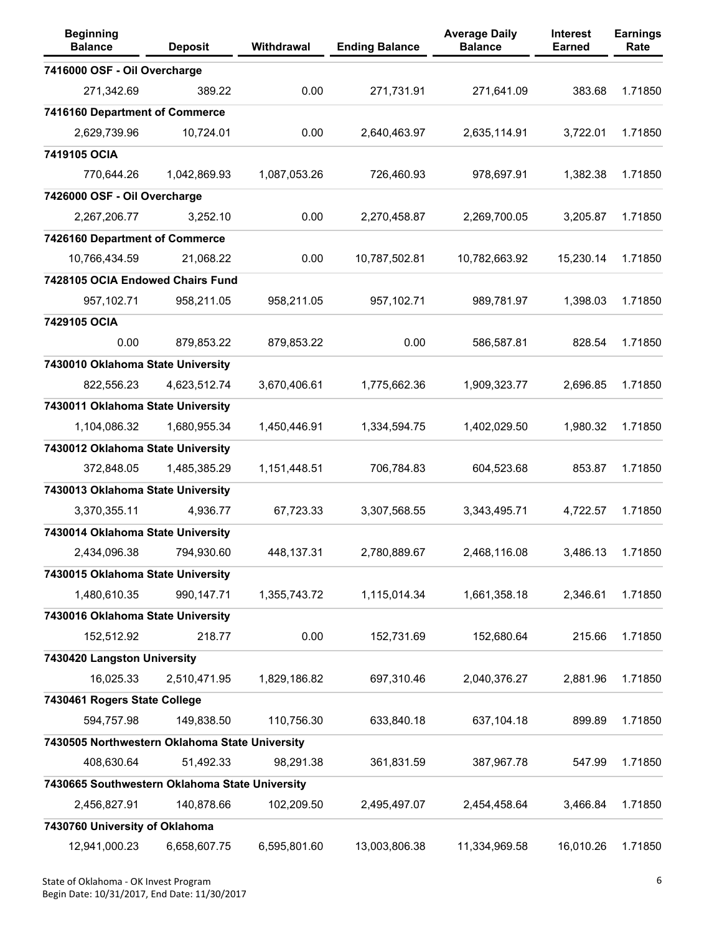| <b>Beginning</b><br><b>Balance</b>             | <b>Deposit</b> | Withdrawal   | <b>Ending Balance</b> | <b>Average Daily</b><br><b>Balance</b> | <b>Interest</b><br><b>Earned</b> | <b>Earnings</b><br>Rate |
|------------------------------------------------|----------------|--------------|-----------------------|----------------------------------------|----------------------------------|-------------------------|
| 7416000 OSF - Oil Overcharge                   |                |              |                       |                                        |                                  |                         |
| 271,342.69                                     | 389.22         | 0.00         | 271,731.91            | 271,641.09                             | 383.68                           | 1.71850                 |
| 7416160 Department of Commerce                 |                |              |                       |                                        |                                  |                         |
| 2,629,739.96                                   | 10,724.01      | 0.00         | 2,640,463.97          | 2,635,114.91                           | 3,722.01                         | 1.71850                 |
| 7419105 OCIA                                   |                |              |                       |                                        |                                  |                         |
| 770,644.26                                     | 1,042,869.93   | 1,087,053.26 | 726,460.93            | 978,697.91                             | 1,382.38                         | 1.71850                 |
| 7426000 OSF - Oil Overcharge                   |                |              |                       |                                        |                                  |                         |
| 2,267,206.77                                   | 3,252.10       | 0.00         | 2,270,458.87          | 2,269,700.05                           | 3,205.87                         | 1.71850                 |
| 7426160 Department of Commerce                 |                |              |                       |                                        |                                  |                         |
| 10,766,434.59                                  | 21,068.22      | 0.00         | 10,787,502.81         | 10,782,663.92                          | 15,230.14                        | 1.71850                 |
| 7428105 OCIA Endowed Chairs Fund               |                |              |                       |                                        |                                  |                         |
| 957,102.71                                     | 958,211.05     | 958,211.05   | 957,102.71            | 989,781.97                             | 1,398.03                         | 1.71850                 |
| 7429105 OCIA                                   |                |              |                       |                                        |                                  |                         |
| 0.00                                           | 879,853.22     | 879,853.22   | 0.00                  | 586,587.81                             | 828.54                           | 1.71850                 |
| 7430010 Oklahoma State University              |                |              |                       |                                        |                                  |                         |
| 822,556.23                                     | 4,623,512.74   | 3,670,406.61 | 1,775,662.36          | 1,909,323.77                           | 2,696.85                         | 1.71850                 |
| 7430011 Oklahoma State University              |                |              |                       |                                        |                                  |                         |
| 1,104,086.32                                   | 1,680,955.34   | 1,450,446.91 | 1,334,594.75          | 1,402,029.50                           | 1,980.32                         | 1.71850                 |
| 7430012 Oklahoma State University              |                |              |                       |                                        |                                  |                         |
| 372,848.05                                     | 1,485,385.29   | 1,151,448.51 | 706,784.83            | 604,523.68                             | 853.87                           | 1.71850                 |
| 7430013 Oklahoma State University              |                |              |                       |                                        |                                  |                         |
| 3,370,355.11                                   | 4,936.77       | 67,723.33    | 3,307,568.55          | 3,343,495.71                           | 4,722.57                         | 1.71850                 |
| 7430014 Oklahoma State University              |                |              |                       |                                        |                                  |                         |
| 2,434,096.38                                   | 794,930.60     | 448,137.31   | 2,780,889.67          | 2,468,116.08                           | 3,486.13                         | 1.71850                 |
| 7430015 Oklahoma State University              |                |              |                       |                                        |                                  |                         |
| 1,480,610.35                                   | 990, 147.71    | 1,355,743.72 | 1,115,014.34          | 1,661,358.18                           | 2,346.61                         | 1.71850                 |
| 7430016 Oklahoma State University              |                |              |                       |                                        |                                  |                         |
| 152,512.92                                     | 218.77         | 0.00         | 152,731.69            | 152,680.64                             | 215.66                           | 1.71850                 |
| 7430420 Langston University                    |                |              |                       |                                        |                                  |                         |
| 16,025.33                                      | 2,510,471.95   | 1,829,186.82 | 697,310.46            | 2,040,376.27                           | 2,881.96                         | 1.71850                 |
| 7430461 Rogers State College                   |                |              |                       |                                        |                                  |                         |
| 594,757.98                                     | 149,838.50     | 110,756.30   | 633,840.18            | 637,104.18                             | 899.89                           | 1.71850                 |
| 7430505 Northwestern Oklahoma State University |                |              |                       |                                        |                                  |                         |
| 408,630.64                                     | 51,492.33      | 98,291.38    | 361,831.59            | 387,967.78                             | 547.99                           | 1.71850                 |
| 7430665 Southwestern Oklahoma State University |                |              |                       |                                        |                                  |                         |
| 2,456,827.91                                   | 140,878.66     | 102,209.50   | 2,495,497.07          | 2,454,458.64                           | 3,466.84                         | 1.71850                 |
| 7430760 University of Oklahoma                 |                |              |                       |                                        |                                  |                         |
| 12,941,000.23                                  | 6,658,607.75   | 6,595,801.60 | 13,003,806.38         | 11,334,969.58                          | 16,010.26                        | 1.71850                 |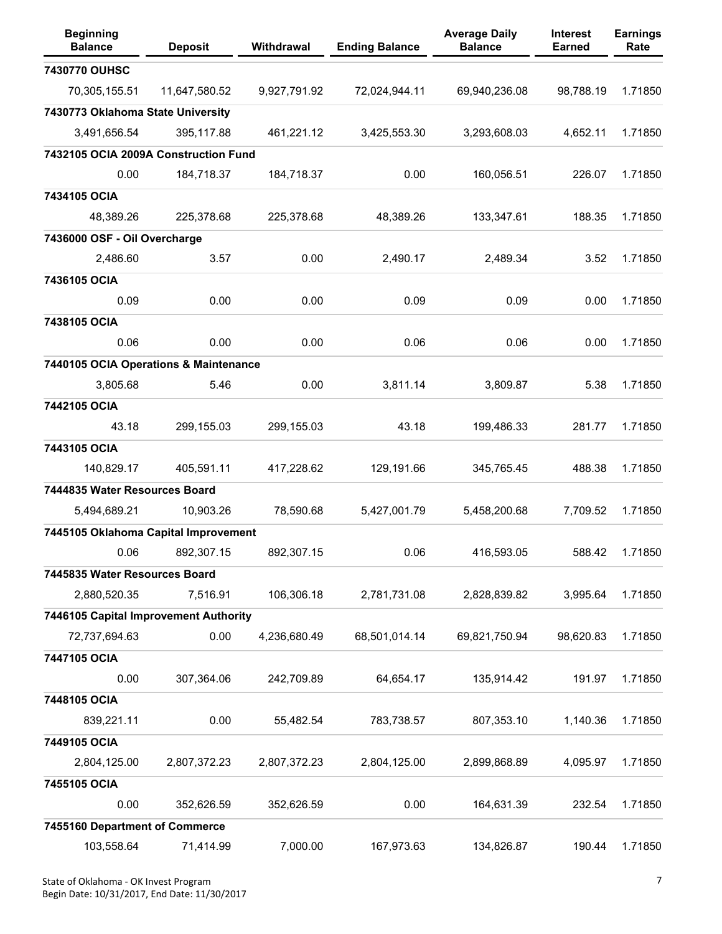| <b>Beginning</b><br><b>Balance</b>    | <b>Deposit</b> | Withdrawal   | <b>Ending Balance</b> | <b>Average Daily</b><br><b>Balance</b> | <b>Interest</b><br><b>Earned</b> | <b>Earnings</b><br>Rate |
|---------------------------------------|----------------|--------------|-----------------------|----------------------------------------|----------------------------------|-------------------------|
| 7430770 OUHSC                         |                |              |                       |                                        |                                  |                         |
| 70,305,155.51                         | 11,647,580.52  | 9,927,791.92 | 72,024,944.11         | 69,940,236.08                          | 98,788.19                        | 1.71850                 |
| 7430773 Oklahoma State University     |                |              |                       |                                        |                                  |                         |
| 3,491,656.54                          | 395,117.88     | 461,221.12   | 3,425,553.30          | 3,293,608.03                           | 4,652.11                         | 1.71850                 |
| 7432105 OCIA 2009A Construction Fund  |                |              |                       |                                        |                                  |                         |
| 0.00                                  | 184,718.37     | 184,718.37   | 0.00                  | 160,056.51                             | 226.07                           | 1.71850                 |
| 7434105 OCIA                          |                |              |                       |                                        |                                  |                         |
| 48,389.26                             | 225,378.68     | 225,378.68   | 48,389.26             | 133,347.61                             | 188.35                           | 1.71850                 |
| 7436000 OSF - Oil Overcharge          |                |              |                       |                                        |                                  |                         |
| 2,486.60                              | 3.57           | 0.00         | 2,490.17              | 2,489.34                               | 3.52                             | 1.71850                 |
| 7436105 OCIA                          |                |              |                       |                                        |                                  |                         |
| 0.09                                  | 0.00           | 0.00         | 0.09                  | 0.09                                   | 0.00                             | 1.71850                 |
| 7438105 OCIA                          |                |              |                       |                                        |                                  |                         |
| 0.06                                  | 0.00           | 0.00         | 0.06                  | 0.06                                   | 0.00                             | 1.71850                 |
| 7440105 OCIA Operations & Maintenance |                |              |                       |                                        |                                  |                         |
| 3,805.68                              | 5.46           | 0.00         | 3,811.14              | 3,809.87                               | 5.38                             | 1.71850                 |
| 7442105 OCIA                          |                |              |                       |                                        |                                  |                         |
| 43.18                                 | 299,155.03     | 299,155.03   | 43.18                 | 199,486.33                             | 281.77                           | 1.71850                 |
| 7443105 OCIA                          |                |              |                       |                                        |                                  |                         |
| 140,829.17                            | 405,591.11     | 417,228.62   | 129,191.66            | 345,765.45                             | 488.38                           | 1.71850                 |
| 7444835 Water Resources Board         |                |              |                       |                                        |                                  |                         |
| 5,494,689.21                          | 10,903.26      | 78,590.68    | 5,427,001.79          | 5,458,200.68                           | 7,709.52                         | 1.71850                 |
| 7445105 Oklahoma Capital Improvement  |                |              |                       |                                        |                                  |                         |
| 0.06                                  | 892.307.15     | 892.307.15   | 0.06                  | 416,593.05                             | 588.42                           | 1.71850                 |
| 7445835 Water Resources Board         |                |              |                       |                                        |                                  |                         |
| 2,880,520.35                          | 7,516.91       | 106,306.18   | 2,781,731.08          | 2,828,839.82                           | 3,995.64                         | 1.71850                 |
| 7446105 Capital Improvement Authority |                |              |                       |                                        |                                  |                         |
| 72,737,694.63                         | 0.00           | 4,236,680.49 | 68,501,014.14         | 69,821,750.94                          | 98,620.83                        | 1.71850                 |
| 7447105 OCIA                          |                |              |                       |                                        |                                  |                         |
| 0.00                                  | 307,364.06     | 242,709.89   | 64,654.17             | 135,914.42                             | 191.97                           | 1.71850                 |
| 7448105 OCIA                          |                |              |                       |                                        |                                  |                         |
| 839,221.11                            | 0.00           | 55,482.54    | 783,738.57            | 807,353.10                             | 1,140.36                         | 1.71850                 |
| 7449105 OCIA                          |                |              |                       |                                        |                                  |                         |
| 2,804,125.00                          | 2,807,372.23   | 2,807,372.23 | 2,804,125.00          | 2,899,868.89                           | 4,095.97                         | 1.71850                 |
| 7455105 OCIA                          |                |              |                       |                                        |                                  |                         |
| 0.00                                  | 352,626.59     | 352,626.59   | 0.00                  | 164,631.39                             | 232.54                           | 1.71850                 |
| 7455160 Department of Commerce        |                |              |                       |                                        |                                  |                         |
| 103,558.64                            | 71,414.99      | 7,000.00     | 167,973.63            | 134,826.87                             | 190.44                           | 1.71850                 |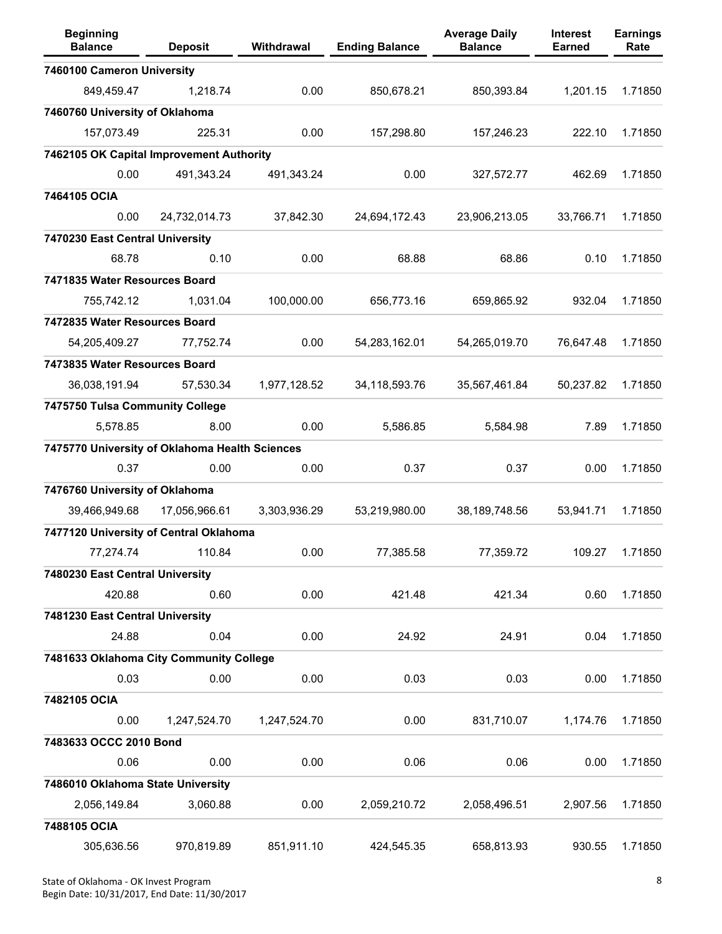| <b>Beginning</b><br><b>Balance</b>             | <b>Deposit</b> | Withdrawal   | <b>Ending Balance</b> | <b>Average Daily</b><br><b>Balance</b> | <b>Interest</b><br><b>Earned</b> | <b>Earnings</b><br>Rate |
|------------------------------------------------|----------------|--------------|-----------------------|----------------------------------------|----------------------------------|-------------------------|
| 7460100 Cameron University                     |                |              |                       |                                        |                                  |                         |
| 849,459.47                                     | 1,218.74       | 0.00         | 850,678.21            | 850,393.84                             | 1,201.15                         | 1.71850                 |
| 7460760 University of Oklahoma                 |                |              |                       |                                        |                                  |                         |
| 157,073.49                                     | 225.31         | 0.00         | 157,298.80            | 157,246.23                             | 222.10                           | 1.71850                 |
| 7462105 OK Capital Improvement Authority       |                |              |                       |                                        |                                  |                         |
| 0.00                                           | 491,343.24     | 491,343.24   | 0.00                  | 327,572.77                             | 462.69                           | 1.71850                 |
| 7464105 OCIA                                   |                |              |                       |                                        |                                  |                         |
| 0.00                                           | 24,732,014.73  | 37,842.30    | 24,694,172.43         | 23,906,213.05                          | 33,766.71                        | 1.71850                 |
| 7470230 East Central University                |                |              |                       |                                        |                                  |                         |
| 68.78                                          | 0.10           | 0.00         | 68.88                 | 68.86                                  | 0.10                             | 1.71850                 |
| 7471835 Water Resources Board                  |                |              |                       |                                        |                                  |                         |
| 755,742.12                                     | 1,031.04       | 100,000.00   | 656,773.16            | 659,865.92                             | 932.04                           | 1.71850                 |
| 7472835 Water Resources Board                  |                |              |                       |                                        |                                  |                         |
| 54,205,409.27                                  | 77,752.74      | 0.00         | 54,283,162.01         | 54,265,019.70                          | 76,647.48                        | 1.71850                 |
| 7473835 Water Resources Board                  |                |              |                       |                                        |                                  |                         |
| 36,038,191.94                                  | 57,530.34      | 1,977,128.52 | 34,118,593.76         | 35,567,461.84                          | 50,237.82                        | 1.71850                 |
| 7475750 Tulsa Community College                |                |              |                       |                                        |                                  |                         |
| 5,578.85                                       | 8.00           | 0.00         | 5,586.85              | 5,584.98                               | 7.89                             | 1.71850                 |
| 7475770 University of Oklahoma Health Sciences |                |              |                       |                                        |                                  |                         |
| 0.37                                           | 0.00           | 0.00         | 0.37                  | 0.37                                   | 0.00                             | 1.71850                 |
| 7476760 University of Oklahoma                 |                |              |                       |                                        |                                  |                         |
| 39,466,949.68                                  | 17,056,966.61  | 3,303,936.29 | 53,219,980.00         | 38,189,748.56                          | 53,941.71                        | 1.71850                 |
| 7477120 University of Central Oklahoma         |                |              |                       |                                        |                                  |                         |
| 77,274.74                                      | 110.84         | 0.00         | 77,385.58             | 77,359.72                              | 109.27                           | 1.71850                 |
| 7480230 East Central University                |                |              |                       |                                        |                                  |                         |
| 420.88                                         | 0.60           | 0.00         | 421.48                | 421.34                                 | 0.60                             | 1.71850                 |
| 7481230 East Central University                |                |              |                       |                                        |                                  |                         |
| 24.88                                          | 0.04           | 0.00         | 24.92                 | 24.91                                  | 0.04                             | 1.71850                 |
| 7481633 Oklahoma City Community College        |                |              |                       |                                        |                                  |                         |
| 0.03                                           | 0.00           | 0.00         | 0.03                  | 0.03                                   | 0.00                             | 1.71850                 |
| 7482105 OCIA                                   |                |              |                       |                                        |                                  |                         |
| 0.00                                           | 1,247,524.70   | 1,247,524.70 | 0.00                  | 831,710.07                             | 1,174.76                         | 1.71850                 |
| 7483633 OCCC 2010 Bond                         |                |              |                       |                                        |                                  |                         |
| 0.06                                           | 0.00           | 0.00         | 0.06                  | 0.06                                   | 0.00                             | 1.71850                 |
| 7486010 Oklahoma State University              |                |              |                       |                                        |                                  |                         |
| 2,056,149.84                                   | 3,060.88       | 0.00         | 2,059,210.72          | 2,058,496.51                           | 2,907.56                         | 1.71850                 |
| 7488105 OCIA                                   |                |              |                       |                                        |                                  |                         |
| 305,636.56                                     | 970,819.89     | 851,911.10   | 424,545.35            | 658,813.93                             | 930.55                           | 1.71850                 |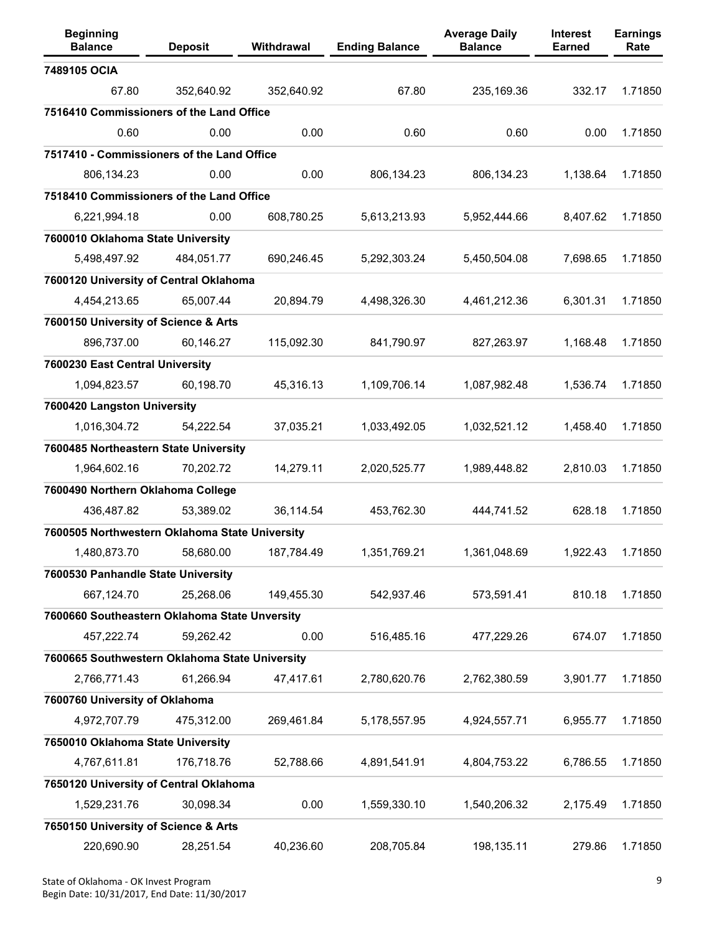| <b>Beginning</b><br><b>Balance</b>             | <b>Deposit</b> | Withdrawal | <b>Ending Balance</b> | <b>Average Daily</b><br><b>Balance</b> | <b>Interest</b><br><b>Earned</b> | <b>Earnings</b><br>Rate |
|------------------------------------------------|----------------|------------|-----------------------|----------------------------------------|----------------------------------|-------------------------|
| 7489105 OCIA                                   |                |            |                       |                                        |                                  |                         |
| 67.80                                          | 352,640.92     | 352,640.92 | 67.80                 | 235,169.36                             | 332.17                           | 1.71850                 |
| 7516410 Commissioners of the Land Office       |                |            |                       |                                        |                                  |                         |
| 0.60                                           | 0.00           | 0.00       | 0.60                  | 0.60                                   | 0.00                             | 1.71850                 |
| 7517410 - Commissioners of the Land Office     |                |            |                       |                                        |                                  |                         |
| 806,134.23                                     | 0.00           | 0.00       | 806,134.23            | 806,134.23                             | 1,138.64                         | 1.71850                 |
| 7518410 Commissioners of the Land Office       |                |            |                       |                                        |                                  |                         |
| 6,221,994.18                                   | 0.00           | 608,780.25 | 5,613,213.93          | 5,952,444.66                           | 8,407.62                         | 1.71850                 |
| 7600010 Oklahoma State University              |                |            |                       |                                        |                                  |                         |
| 5,498,497.92                                   | 484,051.77     | 690,246.45 | 5,292,303.24          | 5,450,504.08                           | 7,698.65                         | 1.71850                 |
| 7600120 University of Central Oklahoma         |                |            |                       |                                        |                                  |                         |
| 4,454,213.65                                   | 65,007.44      | 20,894.79  | 4,498,326.30          | 4,461,212.36                           | 6,301.31                         | 1.71850                 |
| 7600150 University of Science & Arts           |                |            |                       |                                        |                                  |                         |
| 896,737.00                                     | 60,146.27      | 115,092.30 | 841,790.97            | 827,263.97                             | 1,168.48                         | 1.71850                 |
| 7600230 East Central University                |                |            |                       |                                        |                                  |                         |
| 1,094,823.57                                   | 60,198.70      | 45,316.13  | 1,109,706.14          | 1,087,982.48                           | 1,536.74                         | 1.71850                 |
| 7600420 Langston University                    |                |            |                       |                                        |                                  |                         |
| 1,016,304.72                                   | 54,222.54      | 37,035.21  | 1,033,492.05          | 1,032,521.12                           | 1,458.40                         | 1.71850                 |
| 7600485 Northeastern State University          |                |            |                       |                                        |                                  |                         |
| 1,964,602.16                                   | 70,202.72      | 14,279.11  | 2,020,525.77          | 1,989,448.82                           | 2,810.03                         | 1.71850                 |
| 7600490 Northern Oklahoma College              |                |            |                       |                                        |                                  |                         |
| 436,487.82                                     | 53,389.02      | 36,114.54  | 453,762.30            | 444,741.52                             | 628.18                           | 1.71850                 |
| 7600505 Northwestern Oklahoma State University |                |            |                       |                                        |                                  |                         |
| 1.480.873.70                                   | 58.680.00      | 187.784.49 | 1.351.769.21          | 1,361,048.69                           | 1.922.43                         | 1.71850                 |
| 7600530 Panhandle State University             |                |            |                       |                                        |                                  |                         |
| 667,124.70                                     | 25,268.06      | 149,455.30 | 542,937.46            | 573,591.41                             | 810.18                           | 1.71850                 |
| 7600660 Southeastern Oklahoma State Unversity  |                |            |                       |                                        |                                  |                         |
| 457,222.74                                     | 59,262.42      | 0.00       | 516,485.16            | 477,229.26                             | 674.07                           | 1.71850                 |
| 7600665 Southwestern Oklahoma State University |                |            |                       |                                        |                                  |                         |
| 2,766,771.43                                   | 61,266.94      | 47,417.61  | 2,780,620.76          | 2,762,380.59                           | 3,901.77                         | 1.71850                 |
| 7600760 University of Oklahoma                 |                |            |                       |                                        |                                  |                         |
| 4,972,707.79                                   | 475,312.00     | 269,461.84 | 5,178,557.95          | 4,924,557.71                           | 6,955.77                         | 1.71850                 |
| 7650010 Oklahoma State University              |                |            |                       |                                        |                                  |                         |
| 4,767,611.81                                   | 176,718.76     | 52,788.66  | 4,891,541.91          | 4,804,753.22                           | 6,786.55                         | 1.71850                 |
| 7650120 University of Central Oklahoma         |                |            |                       |                                        |                                  |                         |
| 1,529,231.76                                   | 30,098.34      | 0.00       | 1,559,330.10          | 1,540,206.32                           | 2,175.49                         | 1.71850                 |
| 7650150 University of Science & Arts           |                |            |                       |                                        |                                  |                         |
| 220,690.90                                     | 28,251.54      | 40,236.60  | 208,705.84            | 198,135.11                             | 279.86                           | 1.71850                 |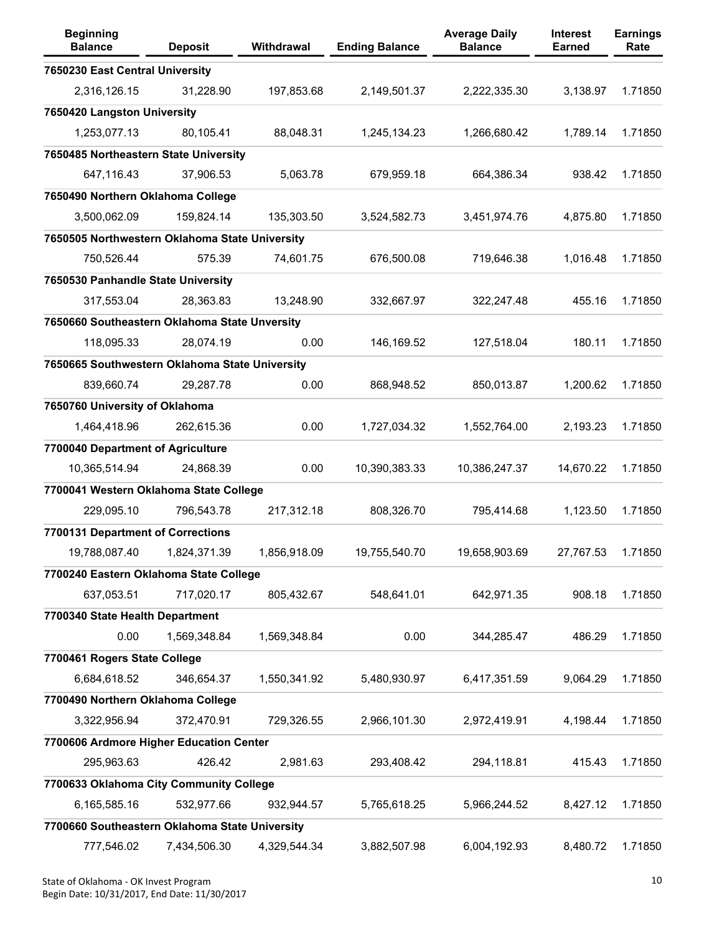| <b>Beginning</b><br><b>Balance</b>             | <b>Deposit</b> | Withdrawal   | <b>Ending Balance</b> | <b>Average Daily</b><br><b>Balance</b> | <b>Interest</b><br><b>Earned</b> | <b>Earnings</b><br>Rate |
|------------------------------------------------|----------------|--------------|-----------------------|----------------------------------------|----------------------------------|-------------------------|
| 7650230 East Central University                |                |              |                       |                                        |                                  |                         |
| 2,316,126.15                                   | 31,228.90      | 197,853.68   | 2,149,501.37          | 2,222,335.30                           | 3,138.97                         | 1.71850                 |
| 7650420 Langston University                    |                |              |                       |                                        |                                  |                         |
| 1,253,077.13                                   | 80,105.41      | 88,048.31    | 1,245,134.23          | 1,266,680.42                           | 1,789.14                         | 1.71850                 |
| 7650485 Northeastern State University          |                |              |                       |                                        |                                  |                         |
| 647,116.43                                     | 37,906.53      | 5,063.78     | 679,959.18            | 664,386.34                             | 938.42                           | 1.71850                 |
| 7650490 Northern Oklahoma College              |                |              |                       |                                        |                                  |                         |
| 3,500,062.09                                   | 159,824.14     | 135,303.50   | 3,524,582.73          | 3,451,974.76                           | 4,875.80                         | 1.71850                 |
| 7650505 Northwestern Oklahoma State University |                |              |                       |                                        |                                  |                         |
| 750,526.44                                     | 575.39         | 74,601.75    | 676,500.08            | 719,646.38                             | 1,016.48                         | 1.71850                 |
| 7650530 Panhandle State University             |                |              |                       |                                        |                                  |                         |
| 317,553.04                                     | 28,363.83      | 13,248.90    | 332,667.97            | 322,247.48                             | 455.16                           | 1.71850                 |
| 7650660 Southeastern Oklahoma State Unversity  |                |              |                       |                                        |                                  |                         |
| 118,095.33                                     | 28,074.19      | 0.00         | 146,169.52            | 127,518.04                             | 180.11                           | 1.71850                 |
| 7650665 Southwestern Oklahoma State University |                |              |                       |                                        |                                  |                         |
| 839,660.74                                     | 29,287.78      | 0.00         | 868,948.52            | 850,013.87                             | 1,200.62                         | 1.71850                 |
| 7650760 University of Oklahoma                 |                |              |                       |                                        |                                  |                         |
| 1,464,418.96                                   | 262,615.36     | 0.00         | 1,727,034.32          | 1,552,764.00                           | 2,193.23                         | 1.71850                 |
| 7700040 Department of Agriculture              |                |              |                       |                                        |                                  |                         |
| 10,365,514.94                                  | 24,868.39      | 0.00         | 10,390,383.33         | 10,386,247.37                          | 14,670.22                        | 1.71850                 |
| 7700041 Western Oklahoma State College         |                |              |                       |                                        |                                  |                         |
| 229,095.10                                     | 796,543.78     | 217,312.18   | 808,326.70            | 795,414.68                             | 1,123.50                         | 1.71850                 |
| 7700131 Department of Corrections              |                |              |                       |                                        |                                  |                         |
| 19,788,087.40                                  | 1,824,371.39   | 1,856,918.09 | 19,755,540.70         | 19,658,903.69                          | 27,767.53                        | 1.71850                 |
| 7700240 Eastern Oklahoma State College         |                |              |                       |                                        |                                  |                         |
| 637,053.51                                     | 717,020.17     | 805,432.67   | 548,641.01            | 642,971.35                             | 908.18                           | 1.71850                 |
| 7700340 State Health Department                |                |              |                       |                                        |                                  |                         |
| 0.00                                           | 1,569,348.84   | 1,569,348.84 | 0.00                  | 344,285.47                             | 486.29                           | 1.71850                 |
| 7700461 Rogers State College                   |                |              |                       |                                        |                                  |                         |
| 6,684,618.52                                   | 346,654.37     | 1,550,341.92 | 5,480,930.97          | 6,417,351.59                           | 9,064.29                         | 1.71850                 |
| 7700490 Northern Oklahoma College              |                |              |                       |                                        |                                  |                         |
| 3,322,956.94                                   | 372,470.91     | 729,326.55   | 2,966,101.30          | 2,972,419.91                           | 4,198.44                         | 1.71850                 |
| 7700606 Ardmore Higher Education Center        |                |              |                       |                                        |                                  |                         |
| 295,963.63                                     | 426.42         | 2,981.63     | 293,408.42            | 294,118.81                             | 415.43                           | 1.71850                 |
| 7700633 Oklahoma City Community College        |                |              |                       |                                        |                                  |                         |
| 6,165,585.16                                   | 532,977.66     | 932,944.57   | 5,765,618.25          | 5,966,244.52                           | 8,427.12                         | 1.71850                 |
| 7700660 Southeastern Oklahoma State University |                |              |                       |                                        |                                  |                         |
| 777,546.02                                     | 7,434,506.30   | 4,329,544.34 | 3,882,507.98          | 6,004,192.93                           | 8,480.72                         | 1.71850                 |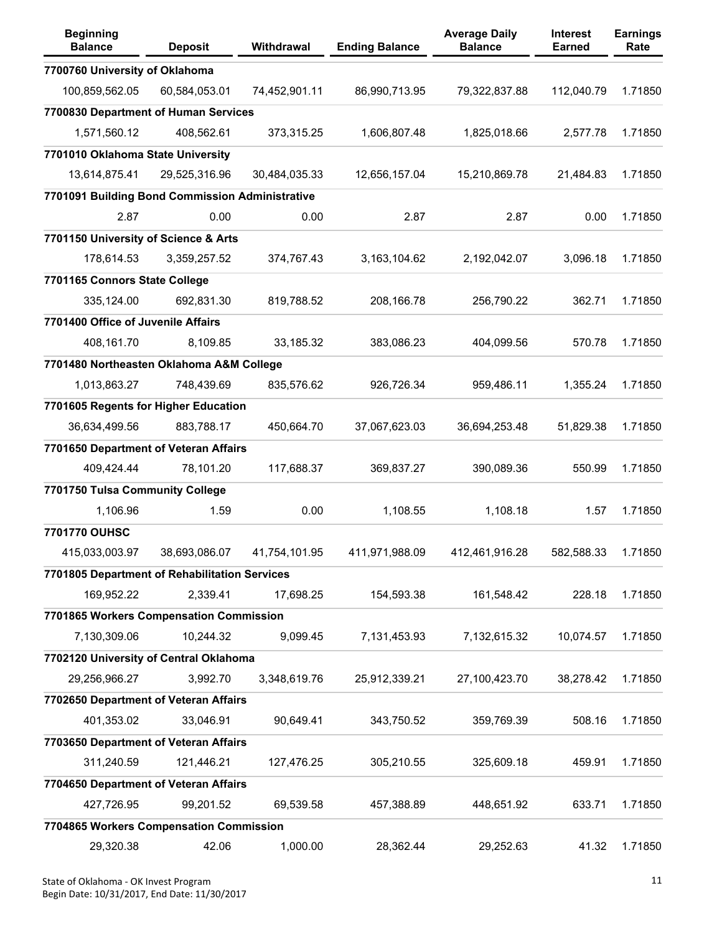| <b>Beginning</b><br><b>Balance</b>              | <b>Deposit</b> | Withdrawal    | <b>Ending Balance</b> | <b>Average Daily</b><br><b>Balance</b> | <b>Interest</b><br><b>Earned</b> | <b>Earnings</b><br>Rate |
|-------------------------------------------------|----------------|---------------|-----------------------|----------------------------------------|----------------------------------|-------------------------|
| 7700760 University of Oklahoma                  |                |               |                       |                                        |                                  |                         |
| 100,859,562.05                                  | 60,584,053.01  | 74,452,901.11 | 86,990,713.95         | 79,322,837.88                          | 112,040.79                       | 1.71850                 |
| 7700830 Department of Human Services            |                |               |                       |                                        |                                  |                         |
| 1,571,560.12                                    | 408,562.61     | 373,315.25    | 1,606,807.48          | 1,825,018.66                           | 2,577.78                         | 1.71850                 |
| 7701010 Oklahoma State University               |                |               |                       |                                        |                                  |                         |
| 13,614,875.41                                   | 29,525,316.96  | 30,484,035.33 | 12,656,157.04         | 15,210,869.78                          | 21,484.83                        | 1.71850                 |
| 7701091 Building Bond Commission Administrative |                |               |                       |                                        |                                  |                         |
| 2.87                                            | 0.00           | 0.00          | 2.87                  | 2.87                                   | 0.00                             | 1.71850                 |
| 7701150 University of Science & Arts            |                |               |                       |                                        |                                  |                         |
| 178,614.53                                      | 3,359,257.52   | 374,767.43    | 3,163,104.62          | 2,192,042.07                           | 3,096.18                         | 1.71850                 |
| 7701165 Connors State College                   |                |               |                       |                                        |                                  |                         |
| 335,124.00                                      | 692,831.30     | 819,788.52    | 208,166.78            | 256,790.22                             | 362.71                           | 1.71850                 |
| 7701400 Office of Juvenile Affairs              |                |               |                       |                                        |                                  |                         |
| 408,161.70                                      | 8,109.85       | 33,185.32     | 383,086.23            | 404,099.56                             | 570.78                           | 1.71850                 |
| 7701480 Northeasten Oklahoma A&M College        |                |               |                       |                                        |                                  |                         |
| 1,013,863.27                                    | 748,439.69     | 835,576.62    | 926,726.34            | 959,486.11                             | 1,355.24                         | 1.71850                 |
| 7701605 Regents for Higher Education            |                |               |                       |                                        |                                  |                         |
| 36,634,499.56                                   | 883,788.17     | 450,664.70    | 37,067,623.03         | 36,694,253.48                          | 51,829.38                        | 1.71850                 |
| 7701650 Department of Veteran Affairs           |                |               |                       |                                        |                                  |                         |
| 409,424.44                                      | 78,101.20      | 117,688.37    | 369,837.27            | 390,089.36                             | 550.99                           | 1.71850                 |
| 7701750 Tulsa Community College                 |                |               |                       |                                        |                                  |                         |
| 1,106.96                                        | 1.59           | 0.00          | 1,108.55              | 1,108.18                               | 1.57                             | 1.71850                 |
| 7701770 OUHSC                                   |                |               |                       |                                        |                                  |                         |
| 415,033,003.97                                  | 38,693,086.07  | 41,754,101.95 | 411,971,988.09        | 412,461,916.28                         | 582.588.33                       | 1.71850                 |
| 7701805 Department of Rehabilitation Services   |                |               |                       |                                        |                                  |                         |
| 169,952.22                                      | 2,339.41       | 17,698.25     | 154,593.38            | 161,548.42                             | 228.18                           | 1.71850                 |
| 7701865 Workers Compensation Commission         |                |               |                       |                                        |                                  |                         |
| 7,130,309.06                                    | 10,244.32      | 9,099.45      | 7,131,453.93          | 7,132,615.32                           | 10,074.57                        | 1.71850                 |
| 7702120 University of Central Oklahoma          |                |               |                       |                                        |                                  |                         |
| 29,256,966.27                                   | 3,992.70       | 3,348,619.76  | 25,912,339.21         | 27,100,423.70                          | 38,278.42                        | 1.71850                 |
| 7702650 Department of Veteran Affairs           |                |               |                       |                                        |                                  |                         |
| 401,353.02                                      | 33,046.91      | 90,649.41     | 343,750.52            | 359,769.39                             | 508.16                           | 1.71850                 |
| 7703650 Department of Veteran Affairs           |                |               |                       |                                        |                                  |                         |
| 311,240.59                                      | 121,446.21     | 127,476.25    | 305,210.55            | 325,609.18                             | 459.91                           | 1.71850                 |
| 7704650 Department of Veteran Affairs           |                |               |                       |                                        |                                  |                         |
| 427,726.95                                      | 99,201.52      | 69,539.58     | 457,388.89            | 448,651.92                             | 633.71                           | 1.71850                 |
| 7704865 Workers Compensation Commission         |                |               |                       |                                        |                                  |                         |
| 29,320.38                                       | 42.06          | 1,000.00      | 28,362.44             | 29,252.63                              | 41.32                            | 1.71850                 |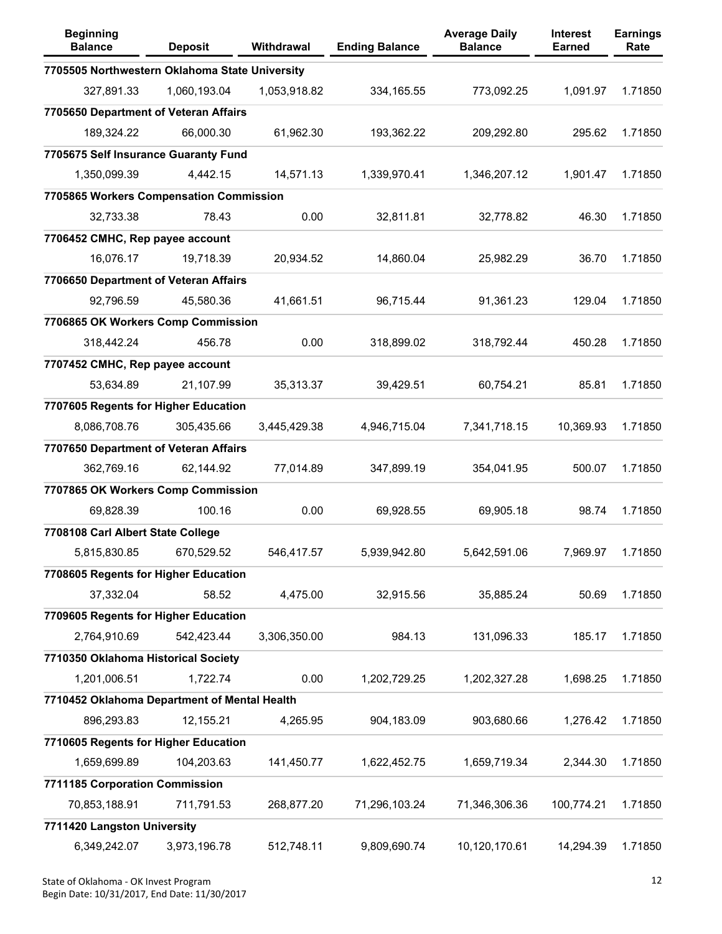| <b>Beginning</b><br><b>Balance</b>             | <b>Deposit</b> | Withdrawal   | <b>Ending Balance</b> | <b>Average Daily</b><br><b>Balance</b> | <b>Interest</b><br><b>Earned</b> | <b>Earnings</b><br>Rate |
|------------------------------------------------|----------------|--------------|-----------------------|----------------------------------------|----------------------------------|-------------------------|
| 7705505 Northwestern Oklahoma State University |                |              |                       |                                        |                                  |                         |
| 327,891.33                                     | 1,060,193.04   | 1,053,918.82 | 334, 165.55           | 773,092.25                             | 1,091.97                         | 1.71850                 |
| 7705650 Department of Veteran Affairs          |                |              |                       |                                        |                                  |                         |
| 189,324.22                                     | 66,000.30      | 61,962.30    | 193,362.22            | 209,292.80                             | 295.62                           | 1.71850                 |
| 7705675 Self Insurance Guaranty Fund           |                |              |                       |                                        |                                  |                         |
| 1,350,099.39                                   | 4,442.15       | 14,571.13    | 1,339,970.41          | 1,346,207.12                           | 1,901.47                         | 1.71850                 |
| 7705865 Workers Compensation Commission        |                |              |                       |                                        |                                  |                         |
| 32,733.38                                      | 78.43          | 0.00         | 32,811.81             | 32,778.82                              | 46.30                            | 1.71850                 |
| 7706452 CMHC, Rep payee account                |                |              |                       |                                        |                                  |                         |
| 16,076.17                                      | 19,718.39      | 20,934.52    | 14,860.04             | 25,982.29                              | 36.70                            | 1.71850                 |
| 7706650 Department of Veteran Affairs          |                |              |                       |                                        |                                  |                         |
| 92,796.59                                      | 45,580.36      | 41,661.51    | 96,715.44             | 91,361.23                              | 129.04                           | 1.71850                 |
| 7706865 OK Workers Comp Commission             |                |              |                       |                                        |                                  |                         |
| 318,442.24                                     | 456.78         | 0.00         | 318,899.02            | 318,792.44                             | 450.28                           | 1.71850                 |
| 7707452 CMHC, Rep payee account                |                |              |                       |                                        |                                  |                         |
| 53,634.89                                      | 21,107.99      | 35,313.37    | 39,429.51             | 60,754.21                              | 85.81                            | 1.71850                 |
| 7707605 Regents for Higher Education           |                |              |                       |                                        |                                  |                         |
| 8,086,708.76                                   | 305,435.66     | 3,445,429.38 | 4,946,715.04          | 7,341,718.15                           | 10,369.93                        | 1.71850                 |
| 7707650 Department of Veteran Affairs          |                |              |                       |                                        |                                  |                         |
| 362,769.16                                     | 62,144.92      | 77,014.89    | 347,899.19            | 354,041.95                             | 500.07                           | 1.71850                 |
| 7707865 OK Workers Comp Commission             |                |              |                       |                                        |                                  |                         |
| 69,828.39                                      | 100.16         | 0.00         | 69,928.55             | 69,905.18                              | 98.74                            | 1.71850                 |
| 7708108 Carl Albert State College              |                |              |                       |                                        |                                  |                         |
| 5,815,830.85                                   | 670,529.52     | 546,417.57   | 5,939,942.80          | 5,642,591.06                           | 7,969.97                         | 1.71850                 |
| 7708605 Regents for Higher Education           |                |              |                       |                                        |                                  |                         |
| 37,332.04                                      | 58.52          | 4,475.00     | 32,915.56             | 35,885.24                              | 50.69                            | 1.71850                 |
| 7709605 Regents for Higher Education           |                |              |                       |                                        |                                  |                         |
| 2,764,910.69                                   | 542,423.44     | 3,306,350.00 | 984.13                | 131,096.33                             | 185.17                           | 1.71850                 |
| 7710350 Oklahoma Historical Society            |                |              |                       |                                        |                                  |                         |
| 1,201,006.51                                   | 1,722.74       | 0.00         | 1,202,729.25          | 1,202,327.28                           | 1,698.25                         | 1.71850                 |
| 7710452 Oklahoma Department of Mental Health   |                |              |                       |                                        |                                  |                         |
| 896,293.83                                     | 12,155.21      | 4,265.95     | 904,183.09            | 903,680.66                             | 1,276.42                         | 1.71850                 |
| 7710605 Regents for Higher Education           |                |              |                       |                                        |                                  |                         |
| 1,659,699.89                                   | 104,203.63     | 141,450.77   | 1,622,452.75          | 1,659,719.34                           | 2,344.30                         | 1.71850                 |
| 7711185 Corporation Commission                 |                |              |                       |                                        |                                  |                         |
| 70,853,188.91                                  | 711,791.53     | 268,877.20   | 71,296,103.24         | 71,346,306.36                          | 100,774.21                       | 1.71850                 |
| 7711420 Langston University                    |                |              |                       |                                        |                                  |                         |
| 6,349,242.07                                   | 3,973,196.78   | 512,748.11   | 9,809,690.74          | 10,120,170.61                          | 14,294.39                        | 1.71850                 |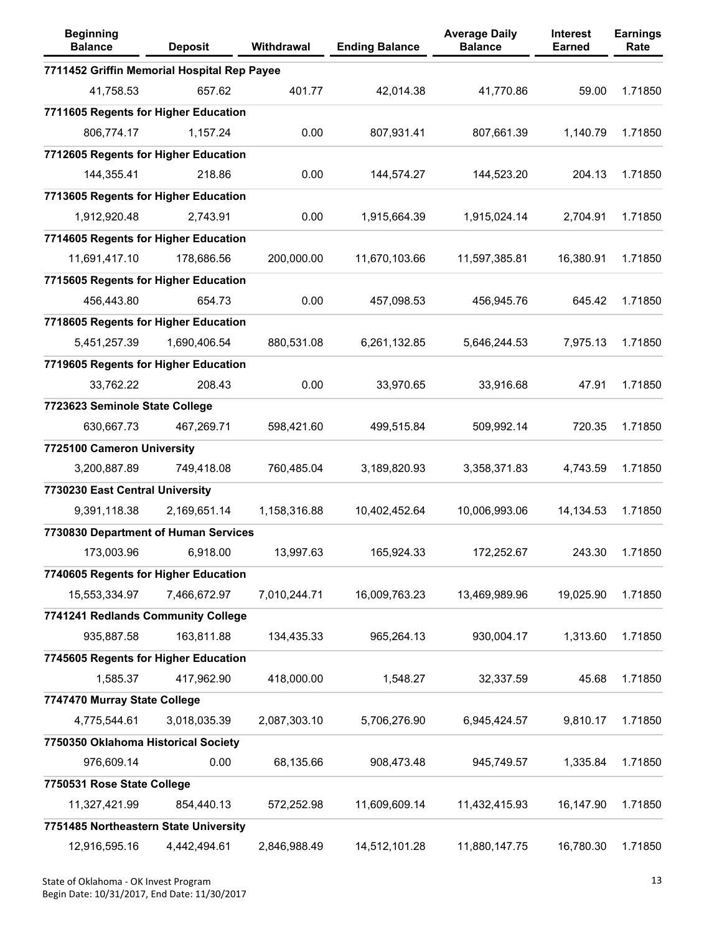| <b>Beginning</b><br><b>Balance</b>          | <b>Deposit</b> | Withdrawal   | <b>Ending Balance</b> | <b>Average Daily</b><br><b>Balance</b> | <b>Interest</b><br><b>Earned</b> | <b>Earnings</b><br>Rate |
|---------------------------------------------|----------------|--------------|-----------------------|----------------------------------------|----------------------------------|-------------------------|
| 7711452 Griffin Memorial Hospital Rep Payee |                |              |                       |                                        |                                  |                         |
| 41,758.53                                   | 657.62         | 401.77       | 42,014.38             | 41,770.86                              | 59.00                            | 1.71850                 |
| 7711605 Regents for Higher Education        |                |              |                       |                                        |                                  |                         |
| 806,774.17                                  | 1,157.24       | 0.00         | 807,931.41            | 807,661.39                             | 1,140.79                         | 1.71850                 |
| 7712605 Regents for Higher Education        |                |              |                       |                                        |                                  |                         |
| 144,355.41                                  | 218.86         | 0.00         | 144,574.27            | 144,523.20                             | 204.13                           | 1.71850                 |
| 7713605 Regents for Higher Education        |                |              |                       |                                        |                                  |                         |
| 1,912,920.48                                | 2,743.91       | 0.00         | 1,915,664.39          | 1,915,024.14                           | 2,704.91                         | 1.71850                 |
| 7714605 Regents for Higher Education        |                |              |                       |                                        |                                  |                         |
| 11,691,417.10                               | 178,686.56     | 200,000.00   | 11,670,103.66         | 11,597,385.81                          | 16,380.91                        | 1.71850                 |
| 7715605 Regents for Higher Education        |                |              |                       |                                        |                                  |                         |
| 456,443.80                                  | 654.73         | 0.00         | 457,098.53            | 456,945.76                             | 645.42                           | 1.71850                 |
| 7718605 Regents for Higher Education        |                |              |                       |                                        |                                  |                         |
| 5,451,257.39                                | 1,690,406.54   | 880,531.08   | 6,261,132.85          | 5,646,244.53                           | 7,975.13                         | 1.71850                 |
| 7719605 Regents for Higher Education        |                |              |                       |                                        |                                  |                         |
| 33,762.22                                   | 208.43         | 0.00         | 33,970.65             | 33,916.68                              | 47.91                            | 1.71850                 |
| 7723623 Seminole State College              |                |              |                       |                                        |                                  |                         |
| 630,667.73                                  | 467,269.71     | 598,421.60   | 499,515.84            | 509,992.14                             | 720.35                           | 1.71850                 |
| 7725100 Cameron University                  |                |              |                       |                                        |                                  |                         |
| 3,200,887.89                                | 749,418.08     | 760,485.04   | 3,189,820.93          | 3,358,371.83                           | 4,743.59                         | 1.71850                 |
| 7730230 East Central University             |                |              |                       |                                        |                                  |                         |
| 9,391,118.38                                | 2,169,651.14   | 1,158,316.88 | 10,402,452.64         | 10,006,993.06                          | 14,134.53                        | 1.71850                 |
| 7730830 Department of Human Services        |                |              |                       |                                        |                                  |                         |
| 173,003.96                                  | 6,918.00       | 13,997.63    | 165,924.33            | 172,252.67                             | 243.30                           | 1.71850                 |
| 7740605 Regents for Higher Education        |                |              |                       |                                        |                                  |                         |
| 15,553,334.97                               | 7,466,672.97   | 7,010,244.71 | 16,009,763.23         | 13,469,989.96                          | 19,025.90                        | 1.71850                 |
| 7741241 Redlands Community College          |                |              |                       |                                        |                                  |                         |
| 935,887.58                                  | 163,811.88     | 134,435.33   | 965,264.13            | 930,004.17                             | 1,313.60                         | 1.71850                 |
| 7745605 Regents for Higher Education        |                |              |                       |                                        |                                  |                         |
| 1,585.37                                    | 417,962.90     | 418,000.00   | 1,548.27              | 32,337.59                              | 45.68                            | 1.71850                 |
| 7747470 Murray State College                |                |              |                       |                                        |                                  |                         |
| 4,775,544.61                                | 3,018,035.39   | 2,087,303.10 | 5,706,276.90          | 6,945,424.57                           | 9,810.17                         | 1.71850                 |
| 7750350 Oklahoma Historical Society         |                |              |                       |                                        |                                  |                         |
| 976,609.14                                  | 0.00           | 68,135.66    | 908,473.48            | 945,749.57                             | 1,335.84                         | 1.71850                 |
| 7750531 Rose State College                  |                |              |                       |                                        |                                  |                         |
| 11,327,421.99                               | 854,440.13     | 572,252.98   | 11,609,609.14         | 11,432,415.93                          | 16,147.90                        | 1.71850                 |
| 7751485 Northeastern State University       |                |              |                       |                                        |                                  |                         |
| 12,916,595.16                               | 4,442,494.61   | 2,846,988.49 | 14,512,101.28         | 11,880,147.75                          | 16,780.30                        | 1.71850                 |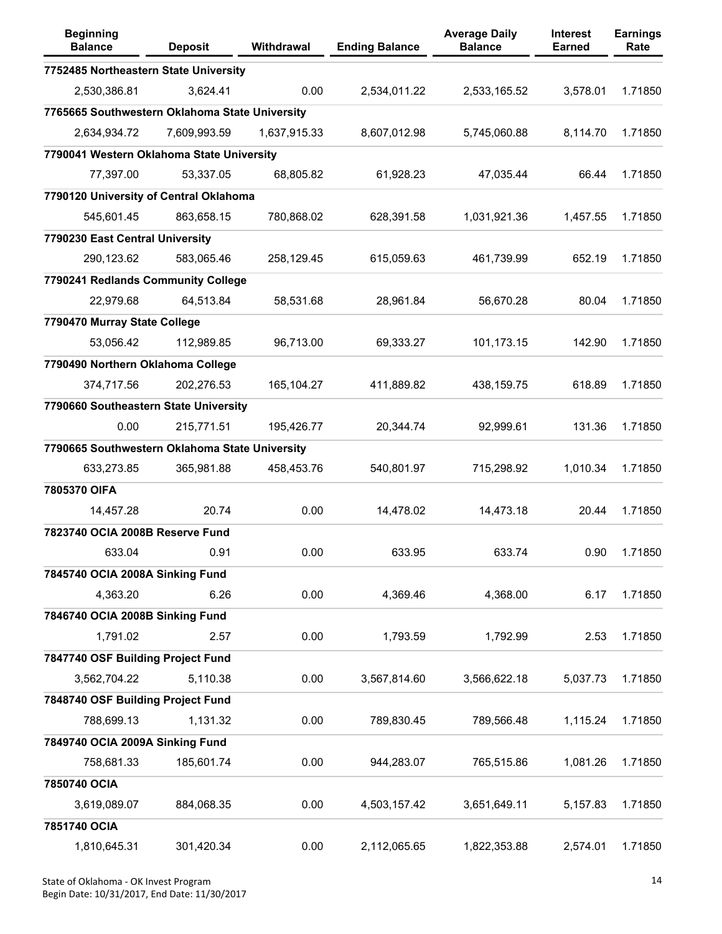| <b>Beginning</b><br><b>Balance</b>             | <b>Deposit</b> | Withdrawal   | <b>Ending Balance</b> | <b>Average Daily</b><br><b>Balance</b> | <b>Interest</b><br><b>Earned</b> | <b>Earnings</b><br>Rate |
|------------------------------------------------|----------------|--------------|-----------------------|----------------------------------------|----------------------------------|-------------------------|
| 7752485 Northeastern State University          |                |              |                       |                                        |                                  |                         |
| 2,530,386.81                                   | 3,624.41       | 0.00         | 2,534,011.22          | 2,533,165.52                           | 3,578.01                         | 1.71850                 |
| 7765665 Southwestern Oklahoma State University |                |              |                       |                                        |                                  |                         |
| 2,634,934.72                                   | 7,609,993.59   | 1,637,915.33 | 8,607,012.98          | 5,745,060.88                           | 8,114.70                         | 1.71850                 |
| 7790041 Western Oklahoma State University      |                |              |                       |                                        |                                  |                         |
| 77,397.00                                      | 53,337.05      | 68,805.82    | 61,928.23             | 47,035.44                              | 66.44                            | 1.71850                 |
| 7790120 University of Central Oklahoma         |                |              |                       |                                        |                                  |                         |
| 545,601.45                                     | 863,658.15     | 780,868.02   | 628,391.58            | 1,031,921.36                           | 1,457.55                         | 1.71850                 |
| 7790230 East Central University                |                |              |                       |                                        |                                  |                         |
| 290,123.62                                     | 583,065.46     | 258,129.45   | 615,059.63            | 461,739.99                             | 652.19                           | 1.71850                 |
| 7790241 Redlands Community College             |                |              |                       |                                        |                                  |                         |
| 22,979.68                                      | 64,513.84      | 58,531.68    | 28,961.84             | 56,670.28                              | 80.04                            | 1.71850                 |
| 7790470 Murray State College                   |                |              |                       |                                        |                                  |                         |
| 53,056.42                                      | 112,989.85     | 96,713.00    | 69,333.27             | 101,173.15                             | 142.90                           | 1.71850                 |
| 7790490 Northern Oklahoma College              |                |              |                       |                                        |                                  |                         |
| 374,717.56                                     | 202,276.53     | 165,104.27   | 411,889.82            | 438,159.75                             | 618.89                           | 1.71850                 |
| 7790660 Southeastern State University          |                |              |                       |                                        |                                  |                         |
| 0.00                                           | 215,771.51     | 195,426.77   | 20,344.74             | 92,999.61                              | 131.36                           | 1.71850                 |
| 7790665 Southwestern Oklahoma State University |                |              |                       |                                        |                                  |                         |
| 633,273.85                                     | 365,981.88     | 458,453.76   | 540,801.97            | 715,298.92                             | 1,010.34                         | 1.71850                 |
| 7805370 OIFA                                   |                |              |                       |                                        |                                  |                         |
| 14,457.28                                      | 20.74          | 0.00         | 14,478.02             | 14,473.18                              | 20.44                            | 1.71850                 |
| 7823740 OCIA 2008B Reserve Fund                |                |              |                       |                                        |                                  |                         |
| 633.04                                         | 0.91           | 0.00         | 633.95                | 633.74                                 | 0.90                             | 1.71850                 |
| 7845740 OCIA 2008A Sinking Fund                |                |              |                       |                                        |                                  |                         |
| 4,363.20                                       | 6.26           | 0.00         | 4,369.46              | 4,368.00                               | 6.17                             | 1.71850                 |
| 7846740 OCIA 2008B Sinking Fund                |                |              |                       |                                        |                                  |                         |
| 1,791.02                                       | 2.57           | 0.00         | 1,793.59              | 1,792.99                               | 2.53                             | 1.71850                 |
| 7847740 OSF Building Project Fund              |                |              |                       |                                        |                                  |                         |
| 3,562,704.22                                   | 5,110.38       | 0.00         | 3,567,814.60          | 3,566,622.18                           | 5,037.73                         | 1.71850                 |
| 7848740 OSF Building Project Fund              |                |              |                       |                                        |                                  |                         |
| 788,699.13                                     | 1,131.32       | 0.00         | 789,830.45            | 789,566.48                             | 1,115.24                         | 1.71850                 |
| 7849740 OCIA 2009A Sinking Fund                |                |              |                       |                                        |                                  |                         |
| 758,681.33                                     | 185,601.74     | 0.00         | 944,283.07            | 765,515.86                             | 1,081.26                         | 1.71850                 |
| 7850740 OCIA                                   |                |              |                       |                                        |                                  |                         |
| 3,619,089.07                                   | 884,068.35     | 0.00         | 4,503,157.42          | 3,651,649.11                           | 5,157.83                         | 1.71850                 |
| 7851740 OCIA                                   |                |              |                       |                                        |                                  |                         |
| 1,810,645.31                                   | 301,420.34     | 0.00         | 2,112,065.65          | 1,822,353.88                           | 2,574.01                         | 1.71850                 |